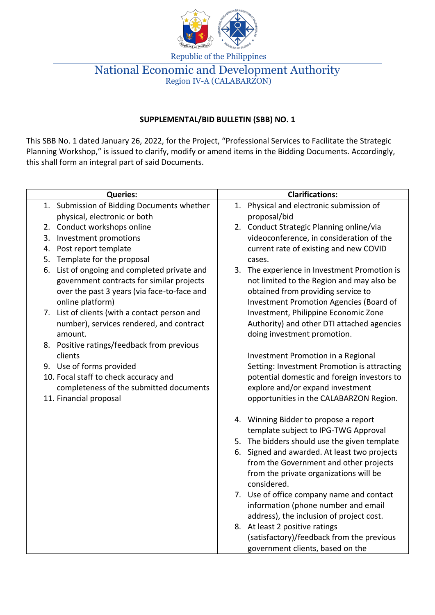

Republic of the Philippines

## National Economic and Development Authority Region IV-A (CALABARZON)

## **SUPPLEMENTAL/BID BULLETIN (SBB) NO. 1**

This SBB No. 1 dated January 26, 2022, for the Project, "Professional Services to Facilitate the Strategic Planning Workshop," is issued to clarify, modify or amend items in the Bidding Documents. Accordingly, this shall form an integral part of said Documents.

| <b>Queries:</b>                                                                                                                                              | <b>Clarifications:</b>                                                                                                                                                     |
|--------------------------------------------------------------------------------------------------------------------------------------------------------------|----------------------------------------------------------------------------------------------------------------------------------------------------------------------------|
| 1. Submission of Bidding Documents whether                                                                                                                   | 1. Physical and electronic submission of                                                                                                                                   |
| physical, electronic or both                                                                                                                                 | proposal/bid                                                                                                                                                               |
| 2. Conduct workshops online                                                                                                                                  | 2. Conduct Strategic Planning online/via                                                                                                                                   |
| Investment promotions<br>3.                                                                                                                                  | videoconference, in consideration of the                                                                                                                                   |
| Post report template<br>4.                                                                                                                                   | current rate of existing and new COVID                                                                                                                                     |
| 5. Template for the proposal                                                                                                                                 | cases.                                                                                                                                                                     |
| 6. List of ongoing and completed private and<br>government contracts for similar projects<br>over the past 3 years (via face-to-face and<br>online platform) | 3. The experience in Investment Promotion is<br>not limited to the Region and may also be<br>obtained from providing service to<br>Investment Promotion Agencies (Board of |
| 7. List of clients (with a contact person and<br>number), services rendered, and contract<br>amount.                                                         | Investment, Philippine Economic Zone<br>Authority) and other DTI attached agencies<br>doing investment promotion.                                                          |
| 8. Positive ratings/feedback from previous                                                                                                                   |                                                                                                                                                                            |
| clients                                                                                                                                                      | Investment Promotion in a Regional                                                                                                                                         |
| 9. Use of forms provided                                                                                                                                     | Setting: Investment Promotion is attracting                                                                                                                                |
| 10. Focal staff to check accuracy and                                                                                                                        | potential domestic and foreign investors to                                                                                                                                |
| completeness of the submitted documents                                                                                                                      | explore and/or expand investment                                                                                                                                           |
| 11. Financial proposal                                                                                                                                       | opportunities in the CALABARZON Region.                                                                                                                                    |
|                                                                                                                                                              | 4. Winning Bidder to propose a report<br>template subject to IPG-TWG Approval                                                                                              |
|                                                                                                                                                              | 5. The bidders should use the given template                                                                                                                               |
|                                                                                                                                                              | 6. Signed and awarded. At least two projects                                                                                                                               |
|                                                                                                                                                              | from the Government and other projects<br>from the private organizations will be<br>considered.                                                                            |
|                                                                                                                                                              | 7. Use of office company name and contact<br>information (phone number and email<br>address), the inclusion of project cost.                                               |
|                                                                                                                                                              | 8. At least 2 positive ratings<br>(satisfactory)/feedback from the previous<br>government clients, based on the                                                            |